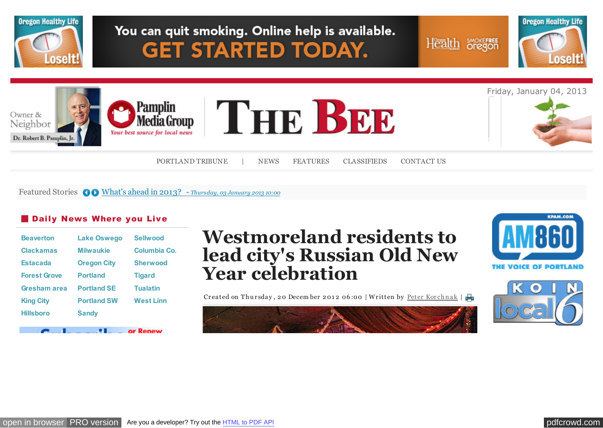

Featured Stories  $\bigcirc$  [What's ahead in 2013? -](http://portlandtribune.com/pt/9-news/125886-whats-ahead-in-2013?%20) *Thursday, 03 January 2013 10:00* 

#### **Daily News Where you Live**

| <b>Beaverton</b>    | <b>Lake Oswego</b> | <b>Sellwood</b>  |
|---------------------|--------------------|------------------|
| <b>Clackamas</b>    | <b>Milwaukie</b>   | Columbia Co.     |
| <b>Estacada</b>     | <b>Oregon City</b> | <b>Sherwood</b>  |
| <b>Forest Grove</b> | <b>Portland</b>    | <b>Tigard</b>    |
| Gresham area        | <b>Portland SE</b> | <b>Tualatin</b>  |
| <b>King City</b>    | <b>Portland SW</b> | <b>West Linn</b> |
| <b>Hillsboro</b>    | <b>Sandy</b>       |                  |
|                     |                    |                  |
|                     |                    | or Renew         |

# **Westmoreland residents to lead city's Russian Old New Year celebration**

Createdon Thursday, 20 December 2012 06:00 | Written by Peter Korchnak |



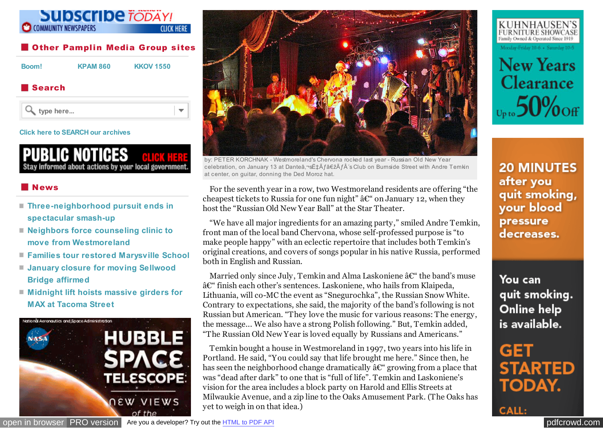#### **Subscribe TODAY! COMMUNITY NEWSPAPERS CLICK HERE**

#### **Other Pamplin Media Group sites**

**[Boom!](http://portlandtribune.com/boom-news/) [KPAM 860](http://kpam.com/) [KKOV 1550](http://www.1550talk.com/)**

 $\overline{\mathbf{v}}$ 

## ■ Search



#### **[Click here to SEARCH our archives](http://portlandtribune.com/portland-tribune-news/archives)**

PUBLIC NOTICES RLIGK HERE itay informed about actions by your local government.

## News

- **[Three-neighborhood pursuit ends in](http://portlandtribune.com/sb/74-news/125011-three-neighborhood-pursuit-ends-in-spectacular-smash-up-) spectacular smash-up**
- **[Neighbors force counseling clinic to](http://portlandtribune.com/sb/74-news/124998-neighbors-force-counseling-clinic-to-move-from-westmoreland-) move from Westmoreland**
- **[Families tour restored Marysville School](http://portlandtribune.com/sb/74-news/124999-families-tour-restored-marysville-school)**
- **[January closure for moving Sellwood](http://portlandtribune.com/sb/74-news/125000-january-closure-for-moving-sellwood-bridge-affirmed-) Bridge affirmed**
- **[Midnight lift hoists massive girders for](http://portlandtribune.com/sb/74-news/125002-midnight-lift-hoists-massive-girders-for-max-at-tacoma-street) MAX at Tacoma Street**





by: PETER KORCHNAK - Westmoreland's Chervona rocked last year - Russian Old New Year celebration, on January 13 at Danteâ,¬sˇÃ f"à f 's Club on Burnside Street with Andre Temkin at center, on guitar, donning the Ded Moroz hat.

For the seventh year in a row, two Westmoreland residents are offering "the cheapest tickets to Russia for one fun night"  $\hat{a} \mathcal{C}^*$  on January 12, when they host the "Russian Old New Year Ball" at the Star Theater.

"We have all major ingredients for an amazing party," smiled Andre Temkin, front man of the local band Chervona, whose self-professed purpose is "to make people happy" with an eclectic repertoire that includes both Temkin's original creations, and covers of songs popular in his native Russia, performed both in English and Russian.

Married only since July, Temkin and Alma Laskoniene  $\hat{a}\mathcal{C}^*$  the band's muse – finish each other's sentences. Laskoniene, who hails from Klaipeda, Lithuania, will co-MC the event as "Snegurochka", the Russian Snow White. Contrary to expectations, she said, the majority of the band's following is not Russian but American. "They love the music for various reasons: The energy, the message... We also have a strong Polish following." But, Temkin added, "The Russian Old New Year is loved equally by Russians and Americans."

Temkin bought a house in Westmoreland in 1997, two years into his life in Portland. He said, "You could say that life brought me here." Since then, he has seen the neighborhood change dramatically  $\hat{a} \mathcal{C}^*$  growing from a place that was "dead after dark" to one that is "full of life". Temkin and Laskoniene's vision for the area includes a block party on Harold and Ellis Streets at Milwaukie Avenue, and a zip line to the Oaks Amusement Park. (The Oaks has yet to weigh in on that idea.)



KUHNHAUSEN'S

FURNITURE SHOWCASE

**20 MINUTES** after you quit smoking, your blood pressure decreases.

You can quit smoking. Online help is available.

GET **STARTED TODAY.** 

**CALL:** 

[open in browser](http://pdfcrowd.com/redirect/?url=http%3a%2f%2fportlandtribune.com%2fsb%2f75-features%2f125053-westmoreland-residents-to-lead-citys-russian-old-new-year-celebration&id=ma-130104114841-3e570da9) [PRO version](http://openx.pmgwebads.com/www/delivery/ck.php?oaparams=2__bannerid=1396__zoneid=275__cb=a087f07869__oadest=http%3A%2F%2Fwww.washingtoncountymuseum.org%2Fhubble) Are you a developer? Try out th[e HTML to PDF API](http://pdfcrowd.com/html-to-pdf-api/?ref=pdf) [pdfcrowd.](http://bs.serving-sys.com/BurstingPipe/BannerRedirect.bs?cn=brd&FlightID=5771754&Page=&PluID=0&EyeblasterID=12385700&Pos=41278876220988&ord=[timestamp])[com](http://pdfcrowd.com)